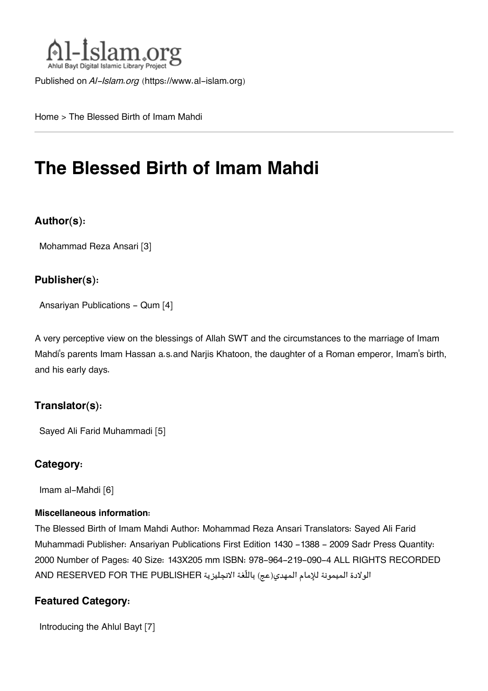

Published on *Al-Islam.org* ([https://www.al-islam.org\)](https://www.al-islam.org)

[Home](https://www.al-islam.org/) > The Blessed Birth of Imam Mahdi

# **The Blessed Birth of Imam Mahdi**

#### **Author(s):**

[Mohammad Reza Ansari](https://www.al-islam.org/person/mohammad-reza-ansari) [3]

#### **Publisher(s):**

[Ansariyan Publications - Qum](https://www.al-islam.org/organization/ansariyan-publications-qum) [4]

A very perceptive view on the blessings of Allah SWT and the circumstances to the marriage of Imam Mahdi's parents Imam Hassan a.s.and Narjis Khatoon, the daughter of a Roman emperor, Imam's birth, and his early days.

#### **Translator(s):**

[Sayed Ali Farid Muhammadi](https://www.al-islam.org/person/sayed-ali-farid-muhammadi) [5]

#### **Category:**

[Imam al-Mahdi](https://www.al-islam.org/library/imam-al-mahdi) [6]

#### **Miscellaneous information:**

The Blessed Birth of Imam Mahdi Author: Mohammad Reza Ansari Translators: Sayed Ali Farid Muhammadi Publisher: Ansariyan Publications First Edition 1430 - 1388 - 2009 Sadr Press Quantity: 2000 Number of Pages: 40 Size: 143X205 mm ISBN: 978-964-219-090-4 ALL RIGHTS RECORDED الولادة الميمونة للإمام المهدي(عج) باللّغة الانجليزية PUBLISHER THE FOR RESERVED AND

#### **Featured Category:**

[Introducing the Ahlul Bayt](https://www.al-islam.org/feature/introducing-ahlul-bayt) [7]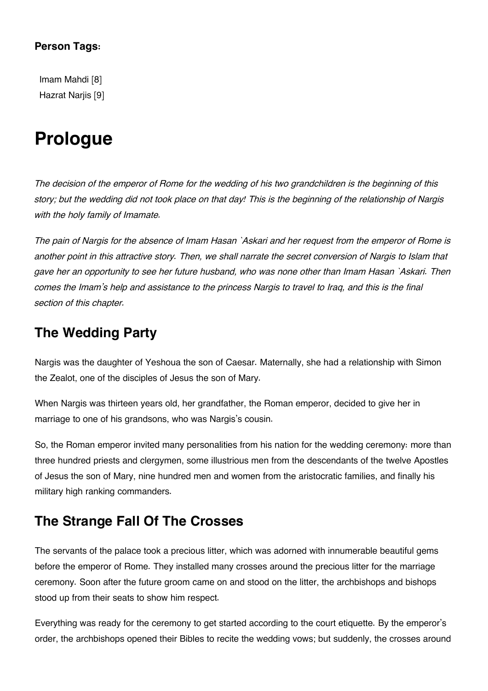#### **Person Tags:**

[Imam Mahdi](https://www.al-islam.org/person/imam-mahdi) [8] Hazrat Nariis [9]

# **Prologue**

*The decision of the emperor of Rome for the wedding of his two grandchildren is the beginning of this story; but the wedding did not took place on that day! This is the beginning of the relationship of Nargis with the holy family of Imamate.*

*The pain of Nargis for the absence of Imam Hasan `Askari and her request from the emperor of Rome is another point in this attractive story. Then, we shall narrate the secret conversion of Nargis to Islam that gave her an opportunity to see her future husband, who was none other than Imam Hasan `Askari. Then comes the Imam's help and assistance to the princess Nargis to travel to Iraq, and this is the final section of this chapter.*

#### **[The Wedding Party](#page--1-0)**

Nargis was the daughter of Yeshoua the son of Caesar. Maternally, she had a relationship with Simon the Zealot, one of the disciples of Jesus the son of Mary.

When Nargis was thirteen years old, her grandfather, the Roman emperor, decided to give her in marriage to one of his grandsons, who was Nargis's cousin.

So, the Roman emperor invited many personalities from his nation for the wedding ceremony: more than three hundred priests and clergymen, some illustrious men from the descendants of the twelve Apostles of Jesus the son of Mary, nine hundred men and women from the aristocratic families, and finally his military high ranking commanders.

### **[The Strange Fall Of The Crosses](#page--1-0)**

The servants of the palace took a precious litter, which was adorned with innumerable beautiful gems before the emperor of Rome. They installed many crosses around the precious litter for the marriage ceremony. Soon after the future groom came on and stood on the litter, the archbishops and bishops stood up from their seats to show him respect.

Everything was ready for the ceremony to get started according to the court etiquette. By the emperor's order, the archbishops opened their Bibles to recite the wedding vows; but suddenly, the crosses around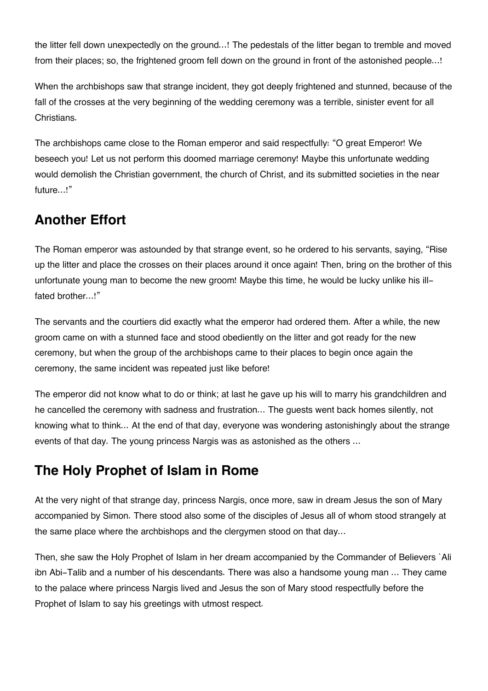the litter fell down unexpectedly on the ground…! The pedestals of the litter began to tremble and moved from their places; so, the frightened groom fell down on the ground in front of the astonished people...!

When the archbishops saw that strange incident, they got deeply frightened and stunned, because of the fall of the crosses at the very beginning of the wedding ceremony was a terrible, sinister event for all Christians.

The archbishops came close to the Roman emperor and said respectfully: "O great Emperor! We beseech you! Let us not perform this doomed marriage ceremony! Maybe this unfortunate wedding would demolish the Christian government, the church of Christ, and its submitted societies in the near future…!"

## **[Another Effort](#page--1-0)**

The Roman emperor was astounded by that strange event, so he ordered to his servants, saying, "Rise up the litter and place the crosses on their places around it once again! Then, bring on the brother of this unfortunate young man to become the new groom! Maybe this time, he would be lucky unlike his illfated brother…!"

The servants and the courtiers did exactly what the emperor had ordered them. After a while, the new groom came on with a stunned face and stood obediently on the litter and got ready for the new ceremony, but when the group of the archbishops came to their places to begin once again the ceremony, the same incident was repeated just like before!

The emperor did not know what to do or think; at last he gave up his will to marry his grandchildren and he cancelled the ceremony with sadness and frustration… The guests went back homes silently, not knowing what to think... At the end of that day, everyone was wondering astonishingly about the strange events of that day. The young princess Nargis was as astonished as the others …

# **[The Holy Prophet of Islam in Rome](#page--1-0)**

At the very night of that strange day, princess Nargis, once more, saw in dream Jesus the son of Mary accompanied by Simon. There stood also some of the disciples of Jesus all of whom stood strangely at the same place where the archbishops and the clergymen stood on that day…

Then, she saw the Holy Prophet of Islam in her dream accompanied by the Commander of Believers `Ali ibn Abi-Talib and a number of his descendants. There was also a handsome young man … They came to the palace where princess Nargis lived and Jesus the son of Mary stood respectfully before the Prophet of Islam to say his greetings with utmost respect.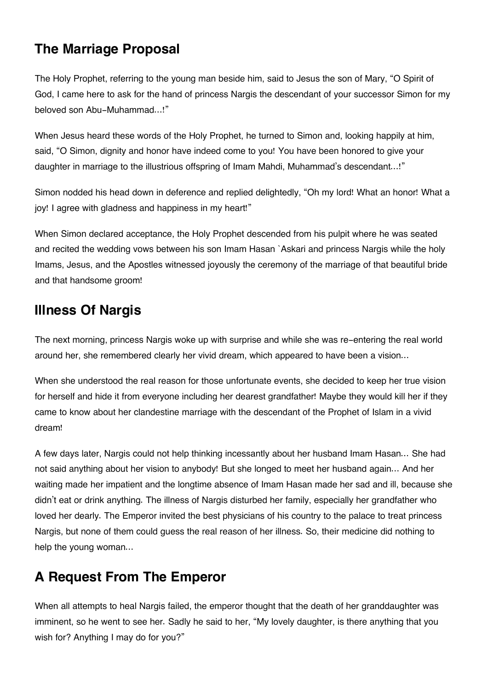## **[The Marriage Proposal](#page--1-0)**

The Holy Prophet, referring to the young man beside him, said to Jesus the son of Mary, "O Spirit of God, I came here to ask for the hand of princess Nargis the descendant of your successor Simon for my beloved son Abu-Muhammad…!"

When Jesus heard these words of the Holy Prophet, he turned to Simon and, looking happily at him, said, "O Simon, dignity and honor have indeed come to you! You have been honored to give your daughter in marriage to the illustrious offspring of Imam Mahdi, Muhammad's descendant…!"

Simon nodded his head down in deference and replied delightedly, "Oh my lord! What an honor! What a joy! I agree with gladness and happiness in my heart!"

When Simon declared acceptance, the Holy Prophet descended from his pulpit where he was seated and recited the wedding vows between his son Imam Hasan `Askari and princess Nargis while the holy Imams, Jesus, and the Apostles witnessed joyously the ceremony of the marriage of that beautiful bride and that handsome groom!

### **[Illness Of Nargis](#page--1-0)**

The next morning, princess Nargis woke up with surprise and while she was re-entering the real world around her, she remembered clearly her vivid dream, which appeared to have been a vision…

When she understood the real reason for those unfortunate events, she decided to keep her true vision for herself and hide it from everyone including her dearest grandfather! Maybe they would kill her if they came to know about her clandestine marriage with the descendant of the Prophet of Islam in a vivid dream!

A few days later, Nargis could not help thinking incessantly about her husband Imam Hasan… She had not said anything about her vision to anybody! But she longed to meet her husband again… And her waiting made her impatient and the longtime absence of Imam Hasan made her sad and ill, because she didn't eat or drink anything. The illness of Nargis disturbed her family, especially her grandfather who loved her dearly. The Emperor invited the best physicians of his country to the palace to treat princess Nargis, but none of them could guess the real reason of her illness. So, their medicine did nothing to help the young woman…

# **[A Request From The Emperor](#page--1-0)**

When all attempts to heal Nargis failed, the emperor thought that the death of her granddaughter was imminent, so he went to see her. Sadly he said to her, "My lovely daughter, is there anything that you wish for? Anything I may do for you?"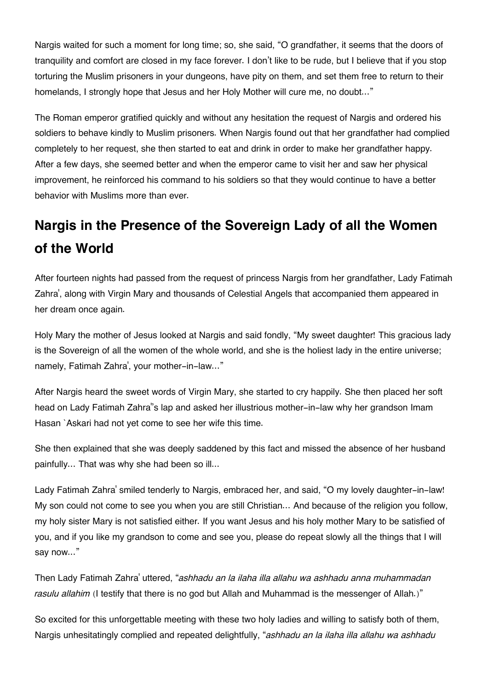Nargis waited for such a moment for long time; so, she said, "O grandfather, it seems that the doors of tranquility and comfort are closed in my face forever. I don't like to be rude, but I believe that if you stop torturing the Muslim prisoners in your dungeons, have pity on them, and set them free to return to their homelands, I strongly hope that Jesus and her Holy Mother will cure me, no doubt..."

The Roman emperor gratified quickly and without any hesitation the request of Nargis and ordered his soldiers to behave kindly to Muslim prisoners. When Nargis found out that her grandfather had complied completely to her request, she then started to eat and drink in order to make her grandfather happy. After a few days, she seemed better and when the emperor came to visit her and saw her physical improvement, he reinforced his command to his soldiers so that they would continue to have a better behavior with Muslims more than ever.

# **[Nargis in the Presence of the Sovereign Lady of all the Women](#page--1-0) [of the World](#page--1-0)**

After fourteen nights had passed from the request of princess Nargis from her grandfather, Lady Fatimah Zahra', along with Virgin Mary and thousands of Celestial Angels that accompanied them appeared in her dream once again.

Holy Mary the mother of Jesus looked at Nargis and said fondly, "My sweet daughter! This gracious lady is the Sovereign of all the women of the whole world, and she is the holiest lady in the entire universe; namely, Fatimah Zahra', your mother-in-law…"

After Nargis heard the sweet words of Virgin Mary, she started to cry happily. She then placed her soft head on Lady Fatimah Zahra''s lap and asked her illustrious mother-in-law why her grandson Imam Hasan `Askari had not yet come to see her wife this time.

She then explained that she was deeply saddened by this fact and missed the absence of her husband painfully… That was why she had been so ill...

Lady Fatimah Zahra' smiled tenderly to Nargis, embraced her, and said, "O my lovely daughter-in-law! My son could not come to see you when you are still Christian… And because of the religion you follow, my holy sister Mary is not satisfied either. If you want Jesus and his holy mother Mary to be satisfied of you, and if you like my grandson to come and see you, please do repeat slowly all the things that I will say now..."

Then Lady Fatimah Zahra' uttered, "*ashhadu an la ilaha illa allahu wa ashhadu anna muhammadan* rasulu allahim (I testify that there is no god but Allah and Muhammad is the messenger of Allah.)"

So excited for this unforgettable meeting with these two holy ladies and willing to satisfy both of them, Nargis unhesitatingly complied and repeated delightfully, "*ashhadu an la ilaha illa allahu wa ashhadu*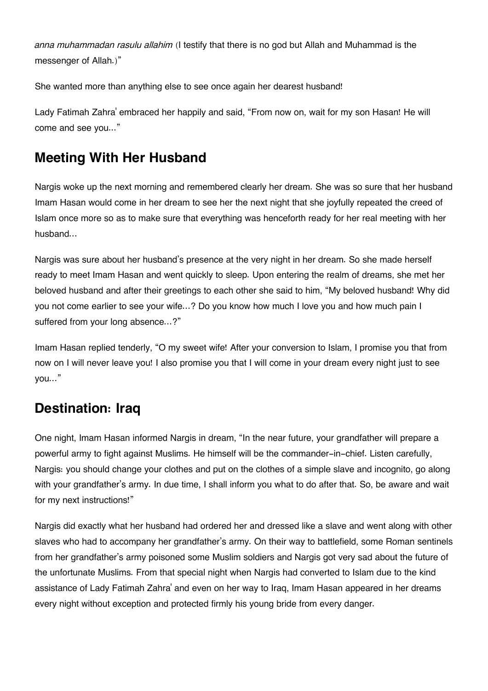*anna muhammadan rasulu allahim* (I testify that there is no god but Allah and Muhammad is the messenger of Allah.)"

She wanted more than anything else to see once again her dearest husband!

Lady Fatimah Zahra' embraced her happily and said, "From now on, wait for my son Hasan! He will come and see you..."

# **[Meeting With Her Husband](#page--1-0)**

Nargis woke up the next morning and remembered clearly her dream. She was so sure that her husband Imam Hasan would come in her dream to see her the next night that she joyfully repeated the creed of Islam once more so as to make sure that everything was henceforth ready for her real meeting with her husband…

Nargis was sure about her husband's presence at the very night in her dream. So she made herself ready to meet Imam Hasan and went quickly to sleep. Upon entering the realm of dreams, she met her beloved husband and after their greetings to each other she said to him, "My beloved husband! Why did you not come earlier to see your wife…? Do you know how much I love you and how much pain I suffered from your long absence…?"

Imam Hasan replied tenderly, "O my sweet wife! After your conversion to Islam, I promise you that from now on I will never leave you! I also promise you that I will come in your dream every night just to see you…"

### **[Destination: Iraq](#page--1-0)**

One night, Imam Hasan informed Nargis in dream, "In the near future, your grandfather will prepare a powerful army to fight against Muslims. He himself will be the commander-in-chief. Listen carefully, Nargis: you should change your clothes and put on the clothes of a simple slave and incognito, go along with your grandfather's army. In due time, I shall inform you what to do after that. So, be aware and wait for my next instructions!"

Nargis did exactly what her husband had ordered her and dressed like a slave and went along with other slaves who had to accompany her grandfather's army. On their way to battlefield, some Roman sentinels from her grandfather's army poisoned some Muslim soldiers and Nargis got very sad about the future of the unfortunate Muslims. From that special night when Nargis had converted to Islam due to the kind assistance of Lady Fatimah Zahra' and even on her way to Iraq, Imam Hasan appeared in her dreams every night without exception and protected firmly his young bride from every danger.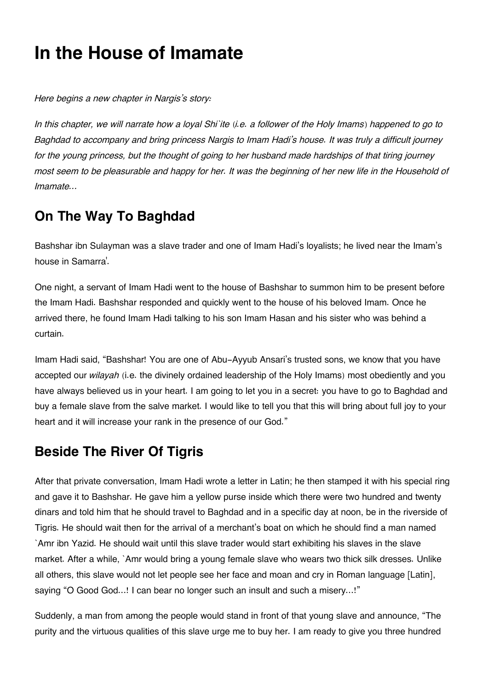# **In the House of Imamate**

*Here begins a new chapter in Nargis's story:*

*In this chapter, we will narrate how a loyal Shi`ite (i.e. a follower of the Holy Imams) happened to go to Baghdad to accompany and bring princess Nargis to Imam Hadi's house. It was truly a difficult journey for the young princess, but the thought of going to her husband made hardships of that tiring journey most seem to be pleasurable and happy for her. It was the beginning of her new life in the Household of Imamate…*

# **[On The Way To Baghdad](#page--1-0)**

Bashshar ibn Sulayman was a slave trader and one of Imam Hadi's loyalists; he lived near the Imam's house in Samarra'.

One night, a servant of Imam Hadi went to the house of Bashshar to summon him to be present before the Imam Hadi. Bashshar responded and quickly went to the house of his beloved Imam. Once he arrived there, he found Imam Hadi talking to his son Imam Hasan and his sister who was behind a curtain.

Imam Hadi said, "Bashshar! You are one of Abu-Ayyub Ansari's trusted sons, we know that you have accepted our *wilayah* (i.e. the divinely ordained leadership of the Holy Imams) most obediently and you have always believed us in your heart. I am going to let you in a secret: you have to go to Baghdad and buy a female slave from the salve market. I would like to tell you that this will bring about full joy to your heart and it will increase your rank in the presence of our God."

# **[Beside The River Of Tigris](#page--1-0)**

After that private conversation, Imam Hadi wrote a letter in Latin; he then stamped it with his special ring and gave it to Bashshar. He gave him a yellow purse inside which there were two hundred and twenty dinars and told him that he should travel to Baghdad and in a specific day at noon, be in the riverside of Tigris. He should wait then for the arrival of a merchant's boat on which he should find a man named `Amr ibn Yazid. He should wait until this slave trader would start exhibiting his slaves in the slave market. After a while, `Amr would bring a young female slave who wears two thick silk dresses. Unlike all others, this slave would not let people see her face and moan and cry in Roman language [Latin], saying "O Good God…! I can bear no longer such an insult and such a misery…!"

Suddenly, a man from among the people would stand in front of that young slave and announce, "The purity and the virtuous qualities of this slave urge me to buy her. I am ready to give you three hundred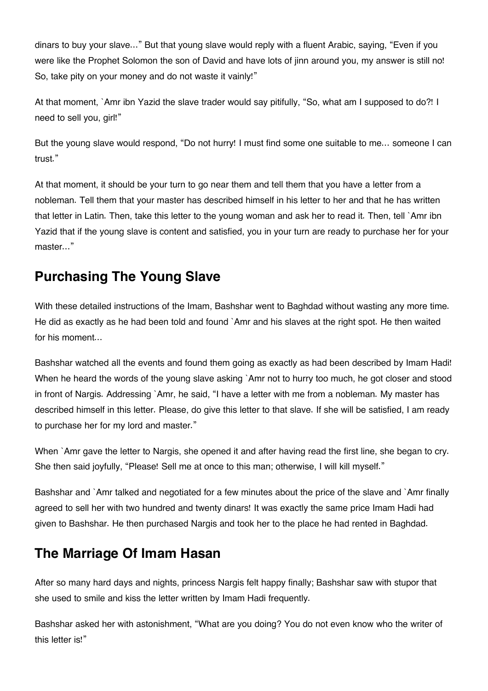dinars to buy your slave…" But that young slave would reply with a fluent Arabic, saying, "Even if you were like the Prophet Solomon the son of David and have lots of jinn around you, my answer is still no! So, take pity on your money and do not waste it vainly!"

At that moment, `Amr ibn Yazid the slave trader would say pitifully, "So, what am I supposed to do?! I need to sell you, girl!"

But the young slave would respond, "Do not hurry! I must find some one suitable to me… someone I can trust."

At that moment, it should be your turn to go near them and tell them that you have a letter from a nobleman. Tell them that your master has described himself in his letter to her and that he has written that letter in Latin. Then, take this letter to the young woman and ask her to read it. Then, tell `Amr ibn Yazid that if the young slave is content and satisfied, you in your turn are ready to purchase her for your master…"

# **[Purchasing The Young Slave](#page--1-0)**

With these detailed instructions of the Imam, Bashshar went to Baghdad without wasting any more time. He did as exactly as he had been told and found `Amr and his slaves at the right spot. He then waited for his moment…

Bashshar watched all the events and found them going as exactly as had been described by Imam Hadi! When he heard the words of the young slave asking `Amr not to hurry too much, he got closer and stood in front of Nargis. Addressing `Amr, he said, "I have a letter with me from a nobleman. My master has described himself in this letter. Please, do give this letter to that slave. If she will be satisfied, I am ready to purchase her for my lord and master."

When `Amr gave the letter to Nargis, she opened it and after having read the first line, she began to cry. She then said joyfully, "Please! Sell me at once to this man; otherwise, I will kill myself."

Bashshar and `Amr talked and negotiated for a few minutes about the price of the slave and `Amr finally agreed to sell her with two hundred and twenty dinars! It was exactly the same price Imam Hadi had given to Bashshar. He then purchased Nargis and took her to the place he had rented in Baghdad.

### **[The Marriage Of Imam Hasan](#page--1-0)**

After so many hard days and nights, princess Nargis felt happy finally; Bashshar saw with stupor that she used to smile and kiss the letter written by Imam Hadi frequently.

Bashshar asked her with astonishment, "What are you doing? You do not even know who the writer of this letter is!"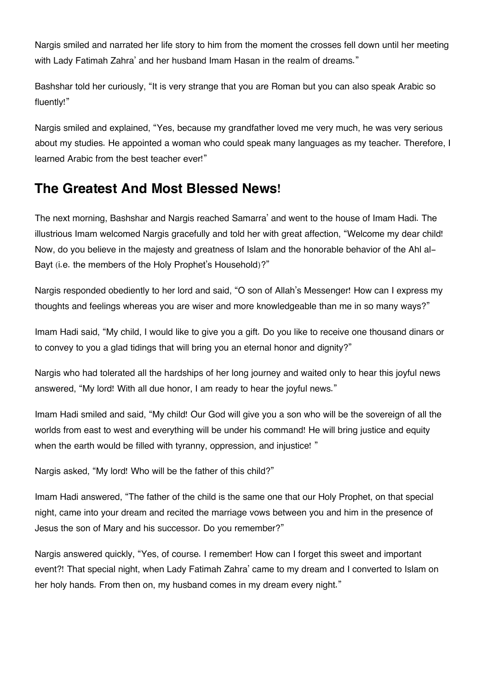Nargis smiled and narrated her life story to him from the moment the crosses fell down until her meeting with Lady Fatimah Zahra' and her husband Imam Hasan in the realm of dreams."

Bashshar told her curiously, "It is very strange that you are Roman but you can also speak Arabic so fluently!"

Nargis smiled and explained, "Yes, because my grandfather loved me very much, he was very serious about my studies. He appointed a woman who could speak many languages as my teacher. Therefore, I learned Arabic from the best teacher ever!"

#### **[The Greatest And Most Blessed News!](#page--1-0)**

The next morning, Bashshar and Nargis reached Samarra' and went to the house of Imam Hadi. The illustrious Imam welcomed Nargis gracefully and told her with great affection, "Welcome my dear child! Now, do you believe in the majesty and greatness of Islam and the honorable behavior of the Ahl al-Bayt (i.e. the members of the Holy Prophet's Household)?"

Nargis responded obediently to her lord and said, "O son of Allah's Messenger! How can I express my thoughts and feelings whereas you are wiser and more knowledgeable than me in so many ways?"

Imam Hadi said, "My child, I would like to give you a gift. Do you like to receive one thousand dinars or to convey to you a glad tidings that will bring you an eternal honor and dignity?"

Nargis who had tolerated all the hardships of her long journey and waited only to hear this joyful news answered, "My lord! With all due honor, I am ready to hear the joyful news."

Imam Hadi smiled and said, "My child! Our God will give you a son who will be the sovereign of all the worlds from east to west and everything will be under his command! He will bring justice and equity when the earth would be filled with tyranny, oppression, and injustice!"

Nargis asked, "My lord! Who will be the father of this child?"

Imam Hadi answered, "The father of the child is the same one that our Holy Prophet, on that special night, came into your dream and recited the marriage vows between you and him in the presence of Jesus the son of Mary and his successor. Do you remember?"

Nargis answered quickly, "Yes, of course. I remember! How can I forget this sweet and important event?! That special night, when Lady Fatimah Zahra' came to my dream and I converted to Islam on her holy hands. From then on, my husband comes in my dream every night."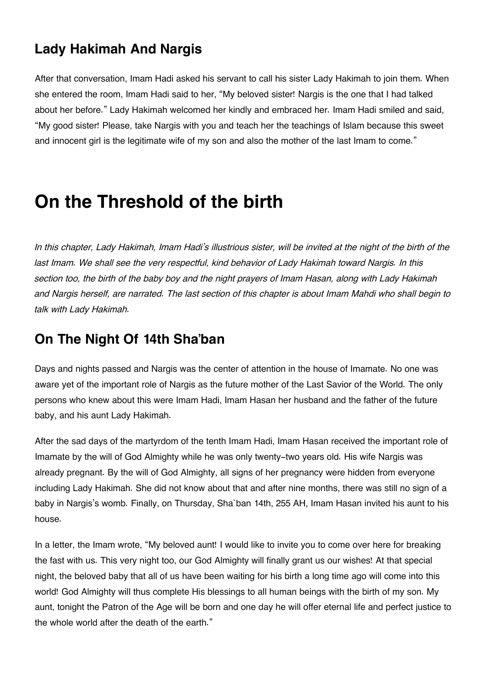## **[Lady Hakimah And Nargis](#page--1-0)**

After that conversation, Imam Hadi asked his servant to call his sister Lady Hakimah to join them. When she entered the room, Imam Hadi said to her, "My beloved sister! Nargis is the one that I had talked about her before." Lady Hakimah welcomed her kindly and embraced her. Imam Hadi smiled and said, "My good sister! Please, take Nargis with you and teach her the teachings of Islam because this sweet and innocent girl is the legitimate wife of my son and also the mother of the last Imam to come."

# **On the Threshold of the birth**

*In this chapter, Lady Hakimah, Imam Hadi's illustrious sister, will be invited at the night of the birth of the last Imam. We shall see the very respectful, kind behavior of Lady Hakimah toward Nargis. In this section too, the birth of the baby boy and the night prayers of Imam Hasan, along with Lady Hakimah and Nargis herself, are narrated. The last section of this chapter is about Imam Mahdi who shall begin to talk with Lady Hakimah.*

### **[On The Night Of 14th Sha'ban](#page--1-0)**

Days and nights passed and Nargis was the center of attention in the house of Imamate. No one was aware yet of the important role of Nargis as the future mother of the Last Savior of the World. The only persons who knew about this were Imam Hadi, Imam Hasan her husband and the father of the future baby, and his aunt Lady Hakimah.

After the sad days of the martyrdom of the tenth Imam Hadi, Imam Hasan received the important role of Imamate by the will of God Almighty while he was only twenty-two years old. His wife Nargis was already pregnant. By the will of God Almighty, all signs of her pregnancy were hidden from everyone including Lady Hakimah. She did not know about that and after nine months, there was still no sign of a baby in Nargis's womb. Finally, on Thursday, Sha`ban 14th, 255 AH, Imam Hasan invited his aunt to his house.

In a letter, the Imam wrote, "My beloved aunt! I would like to invite you to come over here for breaking the fast with us. This very night too, our God Almighty will finally grant us our wishes! At that special night, the beloved baby that all of us have been waiting for his birth a long time ago will come into this world! God Almighty will thus complete His blessings to all human beings with the birth of my son. My aunt, tonight the Patron of the Age will be born and one day he will offer eternal life and perfect justice to the whole world after the death of the earth."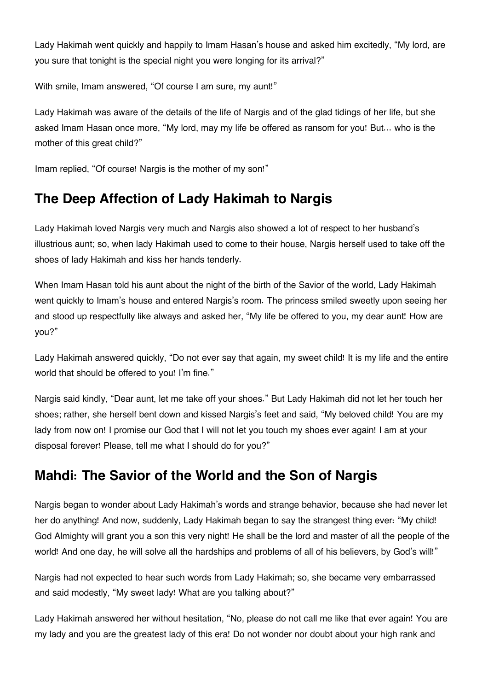Lady Hakimah went quickly and happily to Imam Hasan's house and asked him excitedly, "My lord, are you sure that tonight is the special night you were longing for its arrival?"

With smile, Imam answered, "Of course I am sure, my aunt!"

Lady Hakimah was aware of the details of the life of Nargis and of the glad tidings of her life, but she asked Imam Hasan once more, "My lord, may my life be offered as ransom for you! But… who is the mother of this great child?"

Imam replied, "Of course! Nargis is the mother of my son!"

# **[The Deep Affection of Lady Hakimah to Nargis](#page--1-0)**

Lady Hakimah loved Nargis very much and Nargis also showed a lot of respect to her husband's illustrious aunt; so, when lady Hakimah used to come to their house, Nargis herself used to take off the shoes of lady Hakimah and kiss her hands tenderly.

When Imam Hasan told his aunt about the night of the birth of the Savior of the world, Lady Hakimah went quickly to Imam's house and entered Nargis's room. The princess smiled sweetly upon seeing her and stood up respectfully like always and asked her, "My life be offered to you, my dear aunt! How are you?"

Lady Hakimah answered quickly, "Do not ever say that again, my sweet child! It is my life and the entire world that should be offered to you! I'm fine."

Nargis said kindly, "Dear aunt, let me take off your shoes." But Lady Hakimah did not let her touch her shoes; rather, she herself bent down and kissed Nargis's feet and said, "My beloved child! You are my lady from now on! I promise our God that I will not let you touch my shoes ever again! I am at your disposal forever! Please, tell me what I should do for you?"

### **[Mahdi: The Savior of the World and the Son of Nargis](#page--1-0)**

Nargis began to wonder about Lady Hakimah's words and strange behavior, because she had never let her do anything! And now, suddenly, Lady Hakimah began to say the strangest thing ever: "My child! God Almighty will grant you a son this very night! He shall be the lord and master of all the people of the world! And one day, he will solve all the hardships and problems of all of his believers, by God's will!"

Nargis had not expected to hear such words from Lady Hakimah; so, she became very embarrassed and said modestly, "My sweet lady! What are you talking about?"

Lady Hakimah answered her without hesitation, "No, please do not call me like that ever again! You are my lady and you are the greatest lady of this era! Do not wonder nor doubt about your high rank and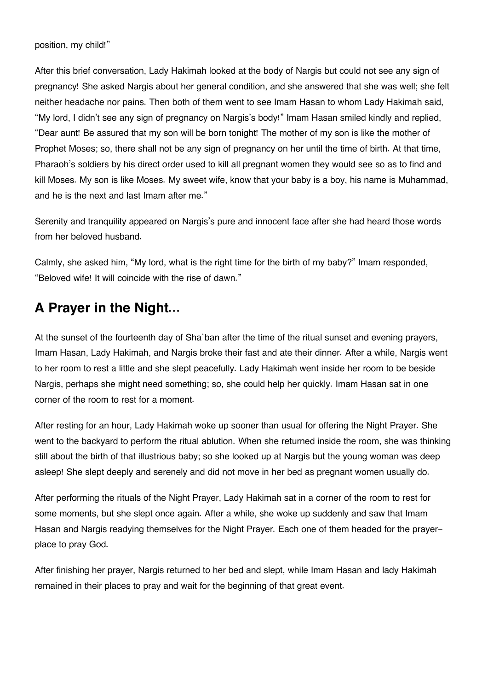After this brief conversation, Lady Hakimah looked at the body of Nargis but could not see any sign of pregnancy! She asked Nargis about her general condition, and she answered that she was well; she felt neither headache nor pains. Then both of them went to see Imam Hasan to whom Lady Hakimah said, "My lord, I didn't see any sign of pregnancy on Nargis's body!" Imam Hasan smiled kindly and replied, "Dear aunt! Be assured that my son will be born tonight! The mother of my son is like the mother of Prophet Moses; so, there shall not be any sign of pregnancy on her until the time of birth. At that time, Pharaoh's soldiers by his direct order used to kill all pregnant women they would see so as to find and kill Moses. My son is like Moses. My sweet wife, know that your baby is a boy, his name is Muhammad, and he is the next and last Imam after me."

Serenity and tranquility appeared on Nargis's pure and innocent face after she had heard those words from her beloved husband.

Calmly, she asked him, "My lord, what is the right time for the birth of my baby?" Imam responded, "Beloved wife! It will coincide with the rise of dawn."

### **[A Prayer in the Night…](#page--1-0)**

At the sunset of the fourteenth day of Sha`ban after the time of the ritual sunset and evening prayers, Imam Hasan, Lady Hakimah, and Nargis broke their fast and ate their dinner. After a while, Nargis went to her room to rest a little and she slept peacefully. Lady Hakimah went inside her room to be beside Nargis, perhaps she might need something; so, she could help her quickly. Imam Hasan sat in one corner of the room to rest for a moment.

After resting for an hour, Lady Hakimah woke up sooner than usual for offering the Night Prayer. She went to the backyard to perform the ritual ablution. When she returned inside the room, she was thinking still about the birth of that illustrious baby; so she looked up at Nargis but the young woman was deep asleep! She slept deeply and serenely and did not move in her bed as pregnant women usually do.

After performing the rituals of the Night Prayer, Lady Hakimah sat in a corner of the room to rest for some moments, but she slept once again. After a while, she woke up suddenly and saw that Imam Hasan and Nargis readying themselves for the Night Prayer. Each one of them headed for the prayerplace to pray God.

After finishing her prayer, Nargis returned to her bed and slept, while Imam Hasan and lady Hakimah remained in their places to pray and wait for the beginning of that great event.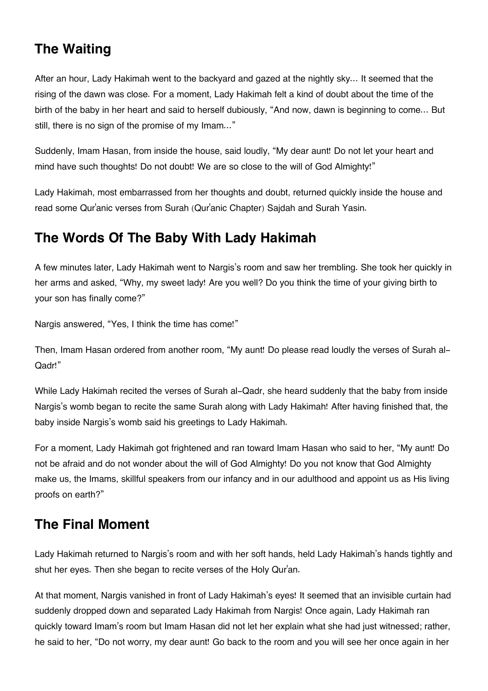# **[The Waiting](#page--1-0)**

After an hour, Lady Hakimah went to the backyard and gazed at the nightly sky… It seemed that the rising of the dawn was close. For a moment, Lady Hakimah felt a kind of doubt about the time of the birth of the baby in her heart and said to herself dubiously, "And now, dawn is beginning to come… But still, there is no sign of the promise of my Imam…"

Suddenly, Imam Hasan, from inside the house, said loudly, "My dear aunt! Do not let your heart and mind have such thoughts! Do not doubt! We are so close to the will of God Almighty!"

Lady Hakimah, most embarrassed from her thoughts and doubt, returned quickly inside the house and read some Qur'anic verses from Surah (Qur'anic Chapter) Sajdah and Surah Yasin.

## **[The Words Of The Baby With Lady Hakimah](#page--1-0)**

A few minutes later, Lady Hakimah went to Nargis's room and saw her trembling. She took her quickly in her arms and asked, "Why, my sweet lady! Are you well? Do you think the time of your giving birth to your son has finally come?"

Nargis answered, "Yes, I think the time has come!"

Then, Imam Hasan ordered from another room, "My aunt! Do please read loudly the verses of Surah al-Qadr!"

While Lady Hakimah recited the verses of Surah al-Qadr, she heard suddenly that the baby from inside Nargis's womb began to recite the same Surah along with Lady Hakimah! After having finished that, the baby inside Nargis's womb said his greetings to Lady Hakimah.

For a moment, Lady Hakimah got frightened and ran toward Imam Hasan who said to her, "My aunt! Do not be afraid and do not wonder about the will of God Almighty! Do you not know that God Almighty make us, the Imams, skillful speakers from our infancy and in our adulthood and appoint us as His living proofs on earth?"

# **[The Final Moment](#page--1-0)**

Lady Hakimah returned to Nargis's room and with her soft hands, held Lady Hakimah's hands tightly and shut her eyes. Then she began to recite verses of the Holy Qur'an.

At that moment, Nargis vanished in front of Lady Hakimah's eyes! It seemed that an invisible curtain had suddenly dropped down and separated Lady Hakimah from Nargis! Once again, Lady Hakimah ran quickly toward Imam's room but Imam Hasan did not let her explain what she had just witnessed; rather, he said to her, "Do not worry, my dear aunt! Go back to the room and you will see her once again in her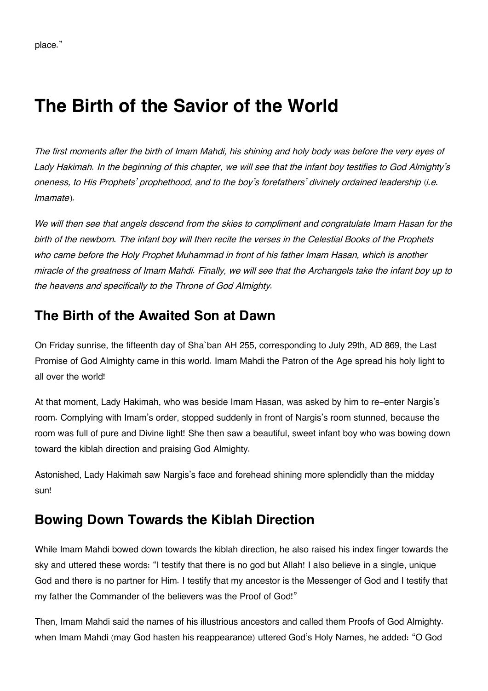# **The Birth of the Savior of the World**

*The first moments after the birth of Imam Mahdi, his shining and holy body was before the very eyes of Lady Hakimah. In the beginning of this chapter, we will see that the infant boy testifies to God Almighty's oneness, to His Prophets' prophethood, and to the boy's forefathers' divinely ordained leadership (i.e. Imamate).*

*We will then see that angels descend from the skies to compliment and congratulate Imam Hasan for the birth of the newborn. The infant boy will then recite the verses in the Celestial Books of the Prophets who came before the Holy Prophet Muhammad in front of his father Imam Hasan, which is another miracle of the greatness of Imam Mahdi. Finally, we will see that the Archangels take the infant boy up to the heavens and specifically to the Throne of God Almighty.*

## **[The Birth of the Awaited Son at Dawn](#page--1-0)**

On Friday sunrise, the fifteenth day of Sha`ban AH 255, corresponding to July 29th, AD 869, the Last Promise of God Almighty came in this world. Imam Mahdi the Patron of the Age spread his holy light to all over the world!

At that moment, Lady Hakimah, who was beside Imam Hasan, was asked by him to re-enter Nargis's room. Complying with Imam's order, stopped suddenly in front of Nargis's room stunned, because the room was full of pure and Divine light! She then saw a beautiful, sweet infant boy who was bowing down toward the kiblah direction and praising God Almighty.

Astonished, Lady Hakimah saw Nargis's face and forehead shining more splendidly than the midday sun!

### **[Bowing Down Towards the Kiblah Direction](#page--1-0)**

While Imam Mahdi bowed down towards the kiblah direction, he also raised his index finger towards the sky and uttered these words: "I testify that there is no god but Allah! I also believe in a single, unique God and there is no partner for Him. I testify that my ancestor is the Messenger of God and I testify that my father the Commander of the believers was the Proof of God!"

Then, Imam Mahdi said the names of his illustrious ancestors and called them Proofs of God Almighty. when Imam Mahdi (may God hasten his reappearance) uttered God's Holy Names, he added: "O God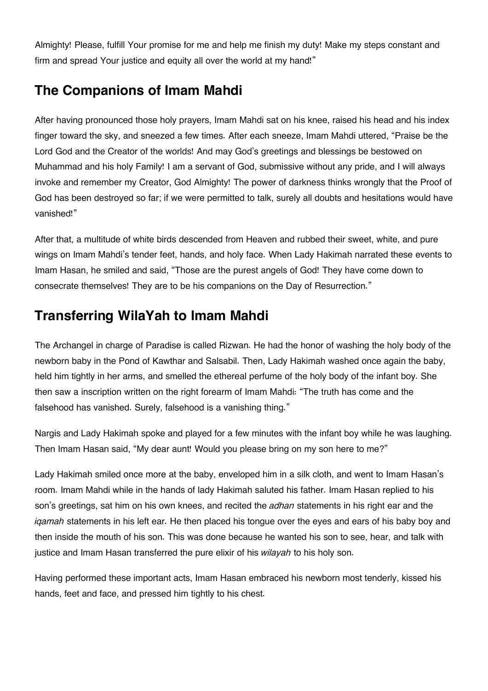Almighty! Please, fulfill Your promise for me and help me finish my duty! Make my steps constant and firm and spread Your justice and equity all over the world at my hand!"

### **[The Companions of Imam Mahdi](#page--1-0)**

After having pronounced those holy prayers, Imam Mahdi sat on his knee, raised his head and his index finger toward the sky, and sneezed a few times. After each sneeze, Imam Mahdi uttered, "Praise be the Lord God and the Creator of the worlds! And may God's greetings and blessings be bestowed on Muhammad and his holy Family! I am a servant of God, submissive without any pride, and I will always invoke and remember my Creator, God Almighty! The power of darkness thinks wrongly that the Proof of God has been destroyed so far; if we were permitted to talk, surely all doubts and hesitations would have vanished!"

After that, a multitude of white birds descended from Heaven and rubbed their sweet, white, and pure wings on Imam Mahdi's tender feet, hands, and holy face. When Lady Hakimah narrated these events to Imam Hasan, he smiled and said, "Those are the purest angels of God! They have come down to consecrate themselves! They are to be his companions on the Day of Resurrection."

# **[Transferring WilaYah to Imam Mahdi](#page--1-0)**

The Archangel in charge of Paradise is called Rizwan. He had the honor of washing the holy body of the newborn baby in the Pond of Kawthar and Salsabil. Then, Lady Hakimah washed once again the baby, held him tightly in her arms, and smelled the ethereal perfume of the holy body of the infant boy. She then saw a inscription written on the right forearm of Imam Mahdi: "The truth has come and the falsehood has vanished. Surely, falsehood is a vanishing thing."

Nargis and Lady Hakimah spoke and played for a few minutes with the infant boy while he was laughing. Then Imam Hasan said, "My dear aunt! Would you please bring on my son here to me?"

Lady Hakimah smiled once more at the baby, enveloped him in a silk cloth, and went to Imam Hasan's room. Imam Mahdi while in the hands of lady Hakimah saluted his father. Imam Hasan replied to his son's greetings, sat him on his own knees, and recited the *adhan* statements in his right ear and the *iqamah* statements in his left ear. He then placed his tongue over the eyes and ears of his baby boy and then inside the mouth of his son. This was done because he wanted his son to see, hear, and talk with justice and Imam Hasan transferred the pure elixir of his *wilayah* to his holy son.

Having performed these important acts, Imam Hasan embraced his newborn most tenderly, kissed his hands, feet and face, and pressed him tightly to his chest.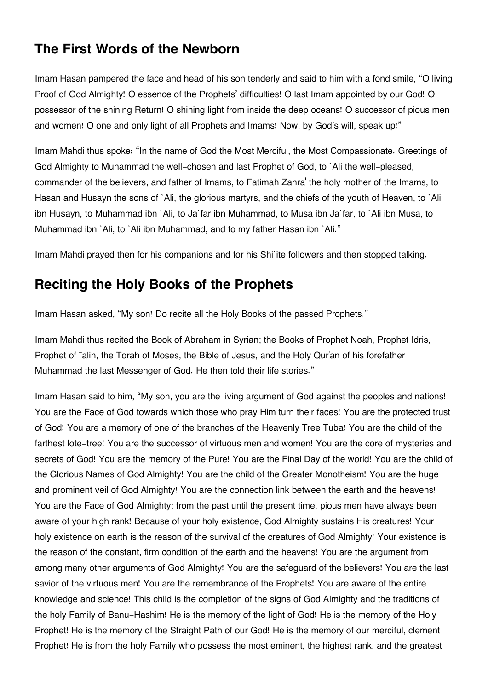#### **[The First Words of the Newborn](#page--1-0)**

Imam Hasan pampered the face and head of his son tenderly and said to him with a fond smile, "O living Proof of God Almighty! O essence of the Prophets' difficulties! O last Imam appointed by our God! O possessor of the shining Return! O shining light from inside the deep oceans! O successor of pious men and women! O one and only light of all Prophets and Imams! Now, by God's will, speak up!"

Imam Mahdi thus spoke: "In the name of God the Most Merciful, the Most Compassionate. Greetings of God Almighty to Muhammad the well-chosen and last Prophet of God, to `Ali the well-pleased, commander of the believers, and father of Imams, to Fatimah Zahra' the holy mother of the Imams, to Hasan and Husayn the sons of `Ali, the glorious martyrs, and the chiefs of the youth of Heaven, to `Ali ibn Husayn, to Muhammad ibn `Ali, to Ja`far ibn Muhammad, to Musa ibn Ja`far, to `Ali ibn Musa, to Muhammad ibn `Ali, to `Ali ibn Muhammad, and to my father Hasan ibn `Ali."

Imam Mahdi prayed then for his companions and for his Shi`ite followers and then stopped talking.

#### **[Reciting the Holy Books of the Prophets](#page--1-0)**

Imam Hasan asked, "My son! Do recite all the Holy Books of the passed Prophets."

Imam Mahdi thus recited the Book of Abraham in Syrian; the Books of Prophet Noah, Prophet Idris, Prophet of <sup>-</sup>alih, the Torah of Moses, the Bible of Jesus, and the Holy Qur'an of his forefather Muhammad the last Messenger of God. He then told their life stories."

Imam Hasan said to him, "My son, you are the living argument of God against the peoples and nations! You are the Face of God towards which those who pray Him turn their faces! You are the protected trust of God! You are a memory of one of the branches of the Heavenly Tree Tuba! You are the child of the farthest lote-tree! You are the successor of virtuous men and women! You are the core of mysteries and secrets of God! You are the memory of the Pure! You are the Final Day of the world! You are the child of the Glorious Names of God Almighty! You are the child of the Greater Monotheism! You are the huge and prominent veil of God Almighty! You are the connection link between the earth and the heavens! You are the Face of God Almighty; from the past until the present time, pious men have always been aware of your high rank! Because of your holy existence, God Almighty sustains His creatures! Your holy existence on earth is the reason of the survival of the creatures of God Almighty! Your existence is the reason of the constant, firm condition of the earth and the heavens! You are the argument from among many other arguments of God Almighty! You are the safeguard of the believers! You are the last savior of the virtuous men! You are the remembrance of the Prophets! You are aware of the entire knowledge and science! This child is the completion of the signs of God Almighty and the traditions of the holy Family of Banu-Hashim! He is the memory of the light of God! He is the memory of the Holy Prophet! He is the memory of the Straight Path of our God! He is the memory of our merciful, clement Prophet! He is from the holy Family who possess the most eminent, the highest rank, and the greatest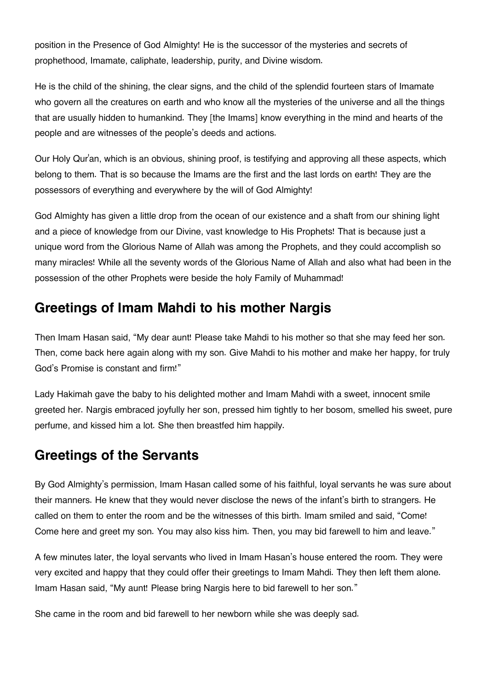position in the Presence of God Almighty! He is the successor of the mysteries and secrets of prophethood, Imamate, caliphate, leadership, purity, and Divine wisdom.

He is the child of the shining, the clear signs, and the child of the splendid fourteen stars of Imamate who govern all the creatures on earth and who know all the mysteries of the universe and all the things that are usually hidden to humankind. They [the Imams] know everything in the mind and hearts of the people and are witnesses of the people's deeds and actions.

Our Holy Qur'an, which is an obvious, shining proof, is testifying and approving all these aspects, which belong to them. That is so because the Imams are the first and the last lords on earth! They are the possessors of everything and everywhere by the will of God Almighty!

God Almighty has given a little drop from the ocean of our existence and a shaft from our shining light and a piece of knowledge from our Divine, vast knowledge to His Prophets! That is because just a unique word from the Glorious Name of Allah was among the Prophets, and they could accomplish so many miracles! While all the seventy words of the Glorious Name of Allah and also what had been in the possession of the other Prophets were beside the holy Family of Muhammad!

### **[Greetings of Imam Mahdi to his mother Nargis](#page--1-0)**

Then Imam Hasan said, "My dear aunt! Please take Mahdi to his mother so that she may feed her son. Then, come back here again along with my son. Give Mahdi to his mother and make her happy, for truly God's Promise is constant and firm!"

Lady Hakimah gave the baby to his delighted mother and Imam Mahdi with a sweet, innocent smile greeted her. Nargis embraced joyfully her son, pressed him tightly to her bosom, smelled his sweet, pure perfume, and kissed him a lot. She then breastfed him happily.

#### **[Greetings of the Servants](#page--1-0)**

By God Almighty's permission, Imam Hasan called some of his faithful, loyal servants he was sure about their manners. He knew that they would never disclose the news of the infant's birth to strangers. He called on them to enter the room and be the witnesses of this birth. Imam smiled and said, "Come! Come here and greet my son. You may also kiss him. Then, you may bid farewell to him and leave."

A few minutes later, the loyal servants who lived in Imam Hasan's house entered the room. They were very excited and happy that they could offer their greetings to Imam Mahdi. They then left them alone. Imam Hasan said, "My aunt! Please bring Nargis here to bid farewell to her son."

She came in the room and bid farewell to her newborn while she was deeply sad.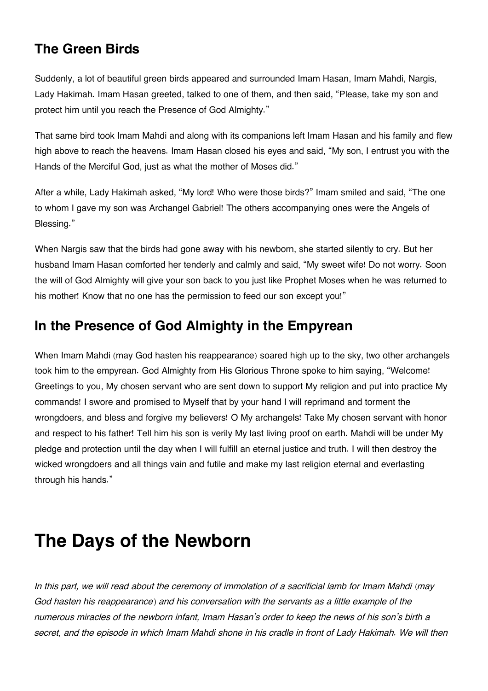### **[The Green Birds](#page--1-0)**

Suddenly, a lot of beautiful green birds appeared and surrounded Imam Hasan, Imam Mahdi, Nargis, Lady Hakimah. Imam Hasan greeted, talked to one of them, and then said, "Please, take my son and protect him until you reach the Presence of God Almighty."

That same bird took Imam Mahdi and along with its companions left Imam Hasan and his family and flew high above to reach the heavens. Imam Hasan closed his eyes and said, "My son, I entrust you with the Hands of the Merciful God, just as what the mother of Moses did."

After a while, Lady Hakimah asked, "My lord! Who were those birds?" Imam smiled and said, "The one to whom I gave my son was Archangel Gabriel! The others accompanying ones were the Angels of Blessing."

When Nargis saw that the birds had gone away with his newborn, she started silently to cry. But her husband Imam Hasan comforted her tenderly and calmly and said, "My sweet wife! Do not worry. Soon the will of God Almighty will give your son back to you just like Prophet Moses when he was returned to his mother! Know that no one has the permission to feed our son except you!"

## **[In the Presence of God Almighty in the Empyrean](#page--1-0)**

When Imam Mahdi (may God hasten his reappearance) soared high up to the sky, two other archangels took him to the empyrean. God Almighty from His Glorious Throne spoke to him saying, "Welcome! Greetings to you, My chosen servant who are sent down to support My religion and put into practice My commands! I swore and promised to Myself that by your hand I will reprimand and torment the wrongdoers, and bless and forgive my believers! O My archangels! Take My chosen servant with honor and respect to his father! Tell him his son is verily My last living proof on earth. Mahdi will be under My pledge and protection until the day when I will fulfill an eternal justice and truth. I will then destroy the wicked wrongdoers and all things vain and futile and make my last religion eternal and everlasting through his hands."

# **The Days of the Newborn**

*In this part, we will read about the ceremony of immolation of a sacrificial lamb for Imam Mahdi (may God hasten his reappearance) and his conversation with the servants as a little example of the numerous miracles of the newborn infant, Imam Hasan's order to keep the news of his son's birth a secret, and the episode in which Imam Mahdi shone in his cradle in front of Lady Hakimah. We will then*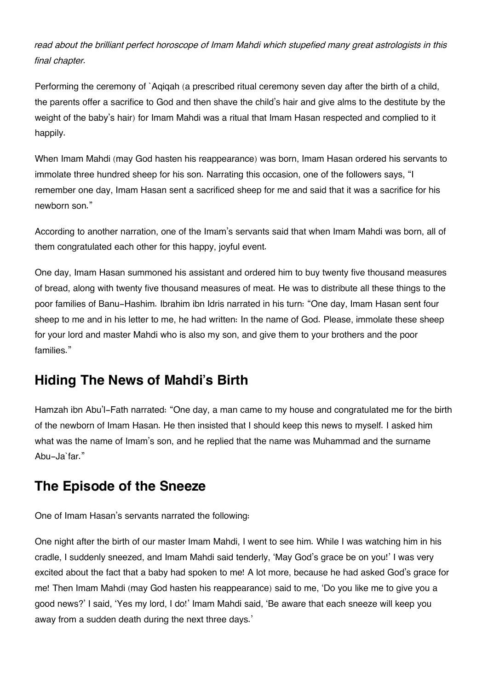*read about the brilliant perfect horoscope of Imam Mahdi which stupefied many great astrologists in this final chapter.*

Performing the ceremony of `Aqiqah (a prescribed ritual ceremony seven day after the birth of a child, the parents offer a sacrifice to God and then shave the child's hair and give alms to the destitute by the weight of the baby's hair) for Imam Mahdi was a ritual that Imam Hasan respected and complied to it happily.

When Imam Mahdi (may God hasten his reappearance) was born, Imam Hasan ordered his servants to immolate three hundred sheep for his son. Narrating this occasion, one of the followers says, "I remember one day, Imam Hasan sent a sacrificed sheep for me and said that it was a sacrifice for his newborn son."

According to another narration, one of the Imam's servants said that when Imam Mahdi was born, all of them congratulated each other for this happy, joyful event.

One day, Imam Hasan summoned his assistant and ordered him to buy twenty five thousand measures of bread, along with twenty five thousand measures of meat. He was to distribute all these things to the poor families of Banu-Hashim. Ibrahim ibn Idris narrated in his turn: "One day, Imam Hasan sent four sheep to me and in his letter to me, he had written: In the name of God. Please, immolate these sheep for your lord and master Mahdi who is also my son, and give them to your brothers and the poor families."

#### **[Hiding The News of Mahdi's Birth](#page--1-0)**

Hamzah ibn Abu'l-Fath narrated: "One day, a man came to my house and congratulated me for the birth of the newborn of Imam Hasan. He then insisted that I should keep this news to myself. I asked him what was the name of Imam's son, and he replied that the name was Muhammad and the surname Abu-Ja`far."

### **[The Episode of the Sneeze](#page--1-0)**

One of Imam Hasan's servants narrated the following:

One night after the birth of our master Imam Mahdi, I went to see him. While I was watching him in his cradle, I suddenly sneezed, and Imam Mahdi said tenderly, 'May God's grace be on you!' I was very excited about the fact that a baby had spoken to me! A lot more, because he had asked God's grace for me! Then Imam Mahdi (may God hasten his reappearance) said to me, 'Do you like me to give you a good news?' I said, 'Yes my lord, I do!' Imam Mahdi said, 'Be aware that each sneeze will keep you away from a sudden death during the next three days.'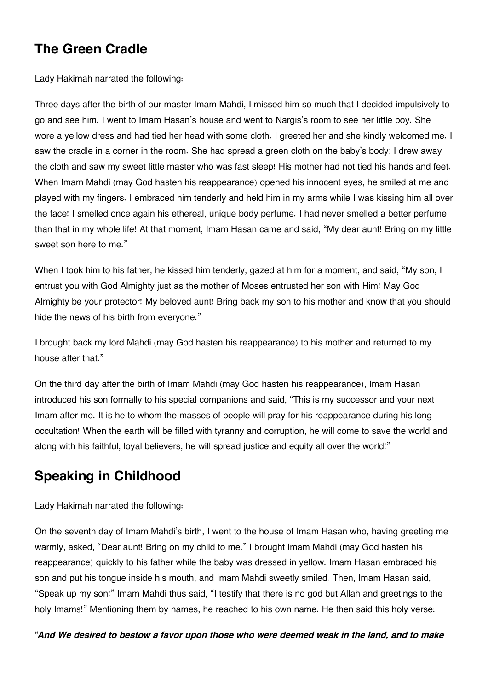### **[The Green Cradle](#page--1-0)**

Lady Hakimah narrated the following:

Three days after the birth of our master Imam Mahdi, I missed him so much that I decided impulsively to go and see him. I went to Imam Hasan's house and went to Nargis's room to see her little boy. She wore a yellow dress and had tied her head with some cloth. I greeted her and she kindly welcomed me. I saw the cradle in a corner in the room. She had spread a green cloth on the baby's body; I drew away the cloth and saw my sweet little master who was fast sleep! His mother had not tied his hands and feet. When Imam Mahdi (may God hasten his reappearance) opened his innocent eyes, he smiled at me and played with my fingers. I embraced him tenderly and held him in my arms while I was kissing him all over the face! I smelled once again his ethereal, unique body perfume. I had never smelled a better perfume than that in my whole life! At that moment, Imam Hasan came and said, "My dear aunt! Bring on my little sweet son here to me."

When I took him to his father, he kissed him tenderly, gazed at him for a moment, and said, "My son, I entrust you with God Almighty just as the mother of Moses entrusted her son with Him! May God Almighty be your protector! My beloved aunt! Bring back my son to his mother and know that you should hide the news of his birth from everyone."

I brought back my lord Mahdi (may God hasten his reappearance) to his mother and returned to my house after that."

On the third day after the birth of Imam Mahdi (may God hasten his reappearance), Imam Hasan introduced his son formally to his special companions and said, "This is my successor and your next Imam after me. It is he to whom the masses of people will pray for his reappearance during his long occultation! When the earth will be filled with tyranny and corruption, he will come to save the world and along with his faithful, loyal believers, he will spread justice and equity all over the world!"

# **[Speaking in Childhood](#page--1-0)**

Lady Hakimah narrated the following:

On the seventh day of Imam Mahdi's birth, I went to the house of Imam Hasan who, having greeting me warmly, asked, "Dear aunt! Bring on my child to me." I brought Imam Mahdi (may God hasten his reappearance) quickly to his father while the baby was dressed in yellow. Imam Hasan embraced his son and put his tongue inside his mouth, and Imam Mahdi sweetly smiled. Then, Imam Hasan said, "Speak up my son!" Imam Mahdi thus said, "I testify that there is no god but Allah and greetings to the holy Imams!" Mentioning them by names, he reached to his own name. He then said this holy verse:

**"***And We desired to bestow a favor upon those who were deemed weak in the land, and to make*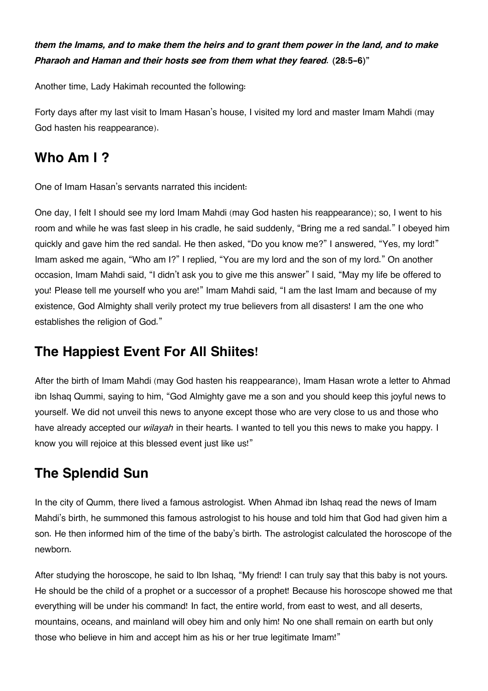#### *them the Imams, and to make them the heirs and to grant them power in the land, and to make Pharaoh and Haman and their hosts see from them what they feared.* **(28:5-6)"**

Another time, Lady Hakimah recounted the following:

Forty days after my last visit to Imam Hasan's house, I visited my lord and master Imam Mahdi (may God hasten his reappearance).

#### **[Who Am I ?](#page--1-0)**

One of Imam Hasan's servants narrated this incident:

One day, I felt I should see my lord Imam Mahdi (may God hasten his reappearance); so, I went to his room and while he was fast sleep in his cradle, he said suddenly, "Bring me a red sandal." I obeyed him quickly and gave him the red sandal. He then asked, "Do you know me?" I answered, "Yes, my lord!" Imam asked me again, "Who am I?" I replied, "You are my lord and the son of my lord." On another occasion, Imam Mahdi said, "I didn't ask you to give me this answer" I said, "May my life be offered to you! Please tell me yourself who you are!" Imam Mahdi said, "I am the last Imam and because of my existence, God Almighty shall verily protect my true believers from all disasters! I am the one who establishes the religion of God."

#### **[The Happiest Event For All Shiites!](#page--1-0)**

After the birth of Imam Mahdi (may God hasten his reappearance), Imam Hasan wrote a letter to Ahmad ibn Ishaq Qummi, saying to him, "God Almighty gave me a son and you should keep this joyful news to yourself. We did not unveil this news to anyone except those who are very close to us and those who have already accepted our *wilayah* in their hearts. I wanted to tell you this news to make you happy. I know you will rejoice at this blessed event just like us!"

# **[The Splendid Sun](#page--1-0)**

In the city of Qumm, there lived a famous astrologist. When Ahmad ibn Ishaq read the news of Imam Mahdi's birth, he summoned this famous astrologist to his house and told him that God had given him a son. He then informed him of the time of the baby's birth. The astrologist calculated the horoscope of the newborn.

After studying the horoscope, he said to Ibn Ishaq, "My friend! I can truly say that this baby is not yours. He should be the child of a prophet or a successor of a prophet! Because his horoscope showed me that everything will be under his command! In fact, the entire world, from east to west, and all deserts, mountains, oceans, and mainland will obey him and only him! No one shall remain on earth but only those who believe in him and accept him as his or her true legitimate Imam!"